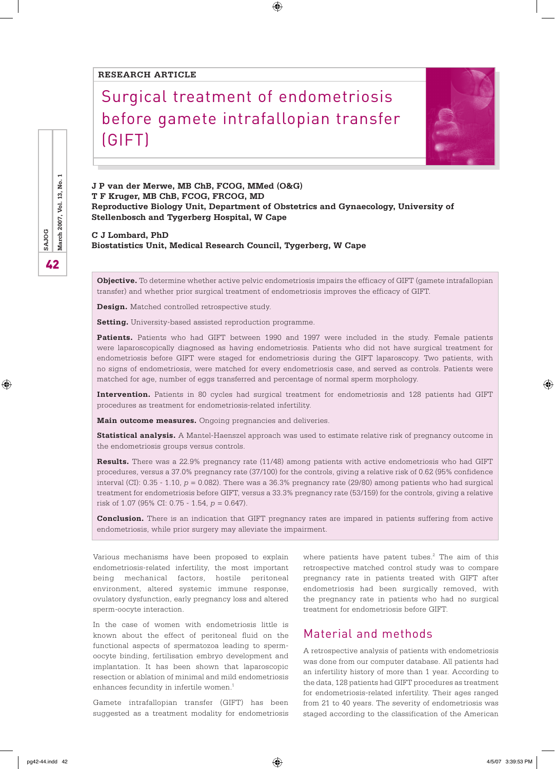#### **RESEARCH ARTICLE**

# Surgical treatment of endometriosis before gamete intrafallopian transfer (GIFT)



**J P van der Merwe, MB ChB, FCOG, MMed (O&G) T F Kruger, MB ChB, FCOG, FRCOG, MD Reproductive Biology Unit, Department of Obstetrics and Gynaecology, University of Stellenbosch and Tygerberg Hospital, W Cape**

 $\bigoplus$ 

**C J Lombard, PhD Biostatistics Unit, Medical Research Council, Tygerberg, W Cape** 

**Objective.** To determine whether active pelvic endometriosis impairs the efficacy of GIFT (gamete intrafallopian transfer) and whether prior surgical treatment of endometriosis improves the efficacy of GIFT.

**Design.** Matched controlled retrospective study.

**Setting.** University-based assisted reproduction programme.

Patients. Patients who had GIFT between 1990 and 1997 were included in the study. Female patients were laparoscopically diagnosed as having endometriosis. Patients who did not have surgical treatment for endometriosis before GIFT were staged for endometriosis during the GIFT laparoscopy. Two patients, with no signs of endometriosis, were matched for every endometriosis case, and served as controls. Patients were matched for age, number of eggs transferred and percentage of normal sperm morphology.

**Intervention.** Patients in 80 cycles had surgical treatment for endometriosis and 128 patients had GIFT procedures as treatment for endometriosis-related infertility.

**Main outcome measures.** Ongoing pregnancies and deliveries.

**Statistical analysis.** A Mantel-Haenszel approach was used to estimate relative risk of pregnancy outcome in the endometriosis groups versus controls.

**Results.** There was a 22.9% pregnancy rate (11/48) among patients with active endometriosis who had GIFT procedures, versus a 37.0% pregnancy rate (37/100) for the controls, giving a relative risk of 0.62 (95% confidence interval (CI): 0.35 - 1.10, *p* = 0.082). There was a 36.3% pregnancy rate (29/80) among patients who had surgical treatment for endometriosis before GIFT, versus a 33.3% pregnancy rate (53/159) for the controls, giving a relative risk of 1.07 (95% CI: 0.75 - 1.54, *p* = 0.647).

**Conclusion.** There is an indication that GIFT pregnancy rates are impared in patients suffering from active endometriosis, while prior surgery may alleviate the impairment.

Various mechanisms have been proposed to explain endometriosis-related infertility, the most important being mechanical factors, hostile peritoneal environment, altered systemic immune response, ovulatory dysfunction, early pregnancy loss and altered sperm-oocyte interaction.

In the case of women with endometriosis little is known about the effect of peritoneal fluid on the functional aspects of spermatozoa leading to spermoocyte binding, fertilisation embryo development and implantation. It has been shown that laparoscopic resection or ablation of minimal and mild endometriosis enhances fecundity in infertile women.<sup>1</sup>

Gamete intrafallopian transfer (GIFT) has been suggested as a treatment modality for endometriosis

where patients have patent tubes. $2$  The aim of this retrospective matched control study was to compare pregnancy rate in patients treated with GIFT after endometriosis had been surgically removed, with the pregnancy rate in patients who had no surgical treatment for endometriosis before GIFT.

## Material and methods

A retrospective analysis of patients with endometriosis was done from our computer database. All patients had an infertility history of more than 1 year. According to the data, 128 patients had GIFT procedures as treatment for endometriosis-related infertility. Their ages ranged from 21 to 40 years. The severity of endometriosis was staged according to the classification of the American

42**SAJOG March 2007, Vol. 13, No. 1** March 2007, Vol. 13, No. SAJOG 42

⊕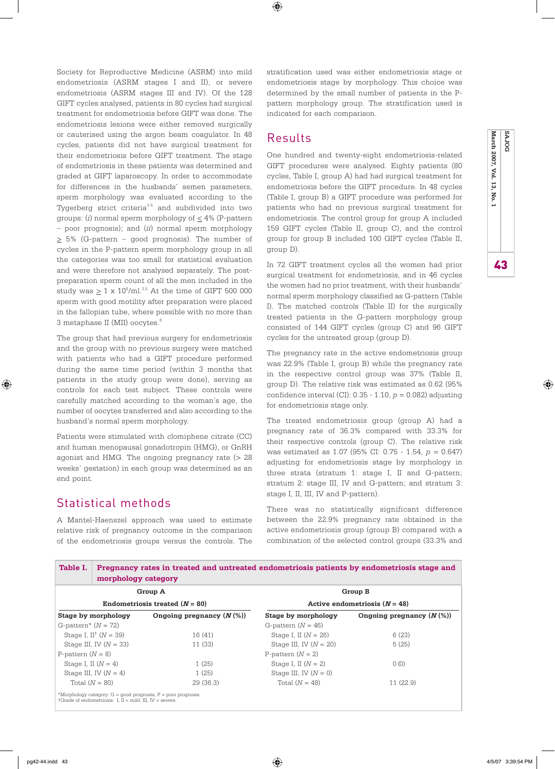Society for Reproductive Medicine (ASRM) into mild endometriosis (ASRM stages I and II), or severe endometriosis (ASRM stages III and IV). Of the 128 GIFT cycles analysed, patients in 80 cycles had surgical treatment for endometriosis before GIFT was done. The endometriosis lesions were either removed surgically or cauterised using the argon beam coagulator. In 48 cycles, patients did not have surgical treatment for their endometriosis before GIFT treatment. The stage of endometriosis in these patients was determined and graded at GIFT laparoscopy. In order to accommodate for differences in the husbands' semen parameters, sperm morphology was evaluated according to the Tygerberg strict criteria<sup>3-5</sup> and subdivided into two groups: (*i*) normal sperm morphology of < 4% (P-pattern – poor prognosis); and (*ii*) normal sperm morphology  $\geq$  5% (G-pattern – good prognosis). The number of cycles in the P-pattern sperm morphology group in all the categories was too small for statistical evaluation and were therefore not analysed separately. The postpreparation sperm count of all the men included in the study was  $\geq 1$  x 10<sup>6</sup>/ml.<sup>3,5</sup> At the time of GIFT 500 000 sperm with good motility after preparation were placed in the fallopian tube, where possible with no more than 3 metaphase II (MII) oocytes.6

The group that had previous surgery for endometriosis and the group with no previous surgery were matched with patients who had a GIFT procedure performed during the same time period (within 3 months that patients in the study group were done), serving as controls for each test subject. These controls were carefully matched according to the woman's age, the number of oocytes transferred and also according to the husband's normal sperm morphology.

Patients were stimulated with clomiphene citrate (CC) and human menopausal gonadotropin (HMG), or GnRH agonist and HMG. The ongoing pregnancy rate (> 28 weeks' gestation) in each group was determined as an end point.

### Statistical methods

⊕

A Mantel-Haenszel approach was used to estimate relative risk of pregnancy outcome in the comparison of the endometriosis groups versus the controls. The stratification used was either endometriosis stage or endometriosis stage by morphology. This choice was determined by the small number of patients in the Ppattern morphology group. The stratification used is indicated for each comparison.

#### Results

 $\bigoplus$ 

One hundred and twenty-eight endometriosis-related GIFT procedures were analysed. Eighty patients (80 cycles, Table I, group A) had had surgical treatment for endometriosis before the GIFT procedure. In 48 cycles (Table I, group B) a GIFT procedure was performed for patients who had no previous surgical treatment for endometriosis. The control group for group A included 159 GIFT cycles (Table II, group C), and the control group for group B included 100 GIFT cycles (Table II, group D).

In 72 GIFT treatment cycles all the women had prior surgical treatment for endometriosis, and in 46 cycles the women had no prior treatment, with their husbands' normal sperm morphology classified as G-pattern (Table I). The matched controls (Table II) for the surgically treated patients in the G-pattern morphology group consisted of 144 GIFT cycles (group C) and 96 GIFT cycles for the untreated group (group D).

The pregnancy rate in the active endometriosis group was 22.9% (Table I, group B) while the pregnancy rate in the respective control group was 37% (Table II, group D). The relative risk was estimated as 0.62 (95% confidence interval (CI): 0.35 - 1.10, *p* = 0.082) adjusting for endometriosis stage only.

The treated endometriosis group (group A) had a pregnancy rate of 36.3% compared with 33.3% for their respective controls (group C). The relative risk was estimated as 1.07 (95% CI: 0.75 - 1.54, *p* = 0.647) adjusting for endometriosis stage by morphology in three strata (stratum 1: stage I, II and G-pattern; stratum 2: stage III, IV and G-pattern; and stratum 3: stage I, II, III, IV and P-pattern).

There was no statistically significant difference between the 22.9% pregnancy rate obtained in the active endometriosis group (group B) compared with a combination of the selected control groups (33.3% and

| Table I.                            | Pregnancy rates in treated and untreated endometriosis patients by endometriosis stage and<br>morphology category |                                                                                 |                                             |                            |  |
|-------------------------------------|-------------------------------------------------------------------------------------------------------------------|---------------------------------------------------------------------------------|---------------------------------------------|----------------------------|--|
| Group A                             |                                                                                                                   |                                                                                 | Group B                                     |                            |  |
| Endometriosis treated $(N = 80)$    |                                                                                                                   |                                                                                 | Active endometriosis $(N = 48)$             |                            |  |
| G-pattern* $(N = 72)$               | Stage by morphology                                                                                               | Ongoing pregnancy $(N(\%))$                                                     | Stage by morphology<br>G-pattern $(N = 46)$ | Ongoing pregnancy $(N \%)$ |  |
| Stage I, II <sup>+</sup> $(N = 39)$ |                                                                                                                   | 16(41)                                                                          | Stage I, II $(N = 26)$                      | 6(23)                      |  |
| Stage III, IV $(N = 33)$            |                                                                                                                   | 11 (33)                                                                         | Stage III, IV $(N = 20)$                    | 5(25)                      |  |
| P-pattern $(N = 8)$                 |                                                                                                                   |                                                                                 | P-pattern $(N = 2)$                         |                            |  |
| Stage I, II $(N = 4)$               |                                                                                                                   | 1(25)                                                                           | Stage I, II $(N = 2)$                       | 0(0)                       |  |
| Stage III, IV $(N = 4)$             |                                                                                                                   | 1(25)                                                                           | Stage III, IV $(N = 0)$                     |                            |  |
| Total $(N = 80)$                    |                                                                                                                   | 29(36.3)                                                                        | Total $(N = 48)$                            | 11(22.9)                   |  |
|                                     | $\tau$ Grade of endometriosis: I, II = mild; III, IV = severe.                                                    | *Morphology category: $G = \text{good progress}$ , $P = \text{poor programs}$ . |                                             |                            |  |



43 **March 2007, Vol. 13, No. 1 SAJOG**

43

♠

March 2007, Vol.

 $13<sup>1</sup>$ No. **SAJOG**